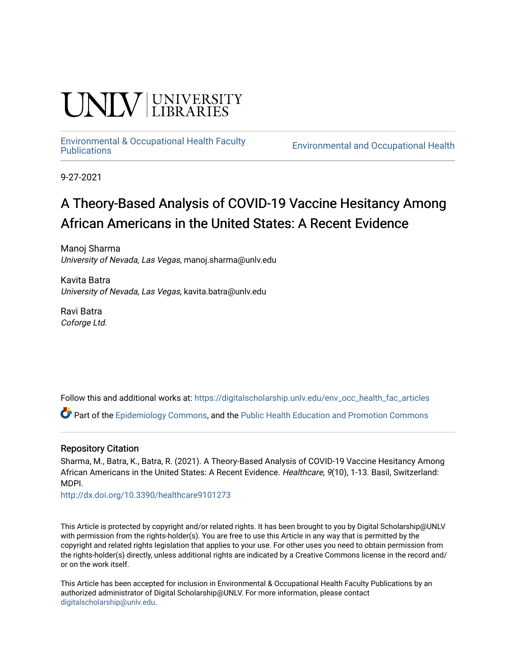# **CINITY** UNIVERSITY

# [Environmental & Occupational Health Faculty](https://digitalscholarship.unlv.edu/env_occ_health_fac_articles)

**Environmental and Occupational Health** 

9-27-2021

# A Theory-Based Analysis of COVID-19 Vaccine Hesitancy Among African Americans in the United States: A Recent Evidence

Manoj Sharma University of Nevada, Las Vegas, manoj.sharma@unlv.edu

Kavita Batra University of Nevada, Las Vegas, kavita.batra@unlv.edu

Ravi Batra Coforge Ltd.

Follow this and additional works at: [https://digitalscholarship.unlv.edu/env\\_occ\\_health\\_fac\\_articles](https://digitalscholarship.unlv.edu/env_occ_health_fac_articles?utm_source=digitalscholarship.unlv.edu%2Fenv_occ_health_fac_articles%2F687&utm_medium=PDF&utm_campaign=PDFCoverPages) 

Part of the [Epidemiology Commons,](http://network.bepress.com/hgg/discipline/740?utm_source=digitalscholarship.unlv.edu%2Fenv_occ_health_fac_articles%2F687&utm_medium=PDF&utm_campaign=PDFCoverPages) and the [Public Health Education and Promotion Commons](http://network.bepress.com/hgg/discipline/743?utm_source=digitalscholarship.unlv.edu%2Fenv_occ_health_fac_articles%2F687&utm_medium=PDF&utm_campaign=PDFCoverPages) 

### Repository Citation

Sharma, M., Batra, K., Batra, R. (2021). A Theory-Based Analysis of COVID-19 Vaccine Hesitancy Among African Americans in the United States: A Recent Evidence. Healthcare, 9(10), 1-13. Basil, Switzerland: MDPI.

<http://dx.doi.org/10.3390/healthcare9101273>

This Article is protected by copyright and/or related rights. It has been brought to you by Digital Scholarship@UNLV with permission from the rights-holder(s). You are free to use this Article in any way that is permitted by the copyright and related rights legislation that applies to your use. For other uses you need to obtain permission from the rights-holder(s) directly, unless additional rights are indicated by a Creative Commons license in the record and/ or on the work itself.

This Article has been accepted for inclusion in Environmental & Occupational Health Faculty Publications by an authorized administrator of Digital Scholarship@UNLV. For more information, please contact [digitalscholarship@unlv.edu](mailto:digitalscholarship@unlv.edu).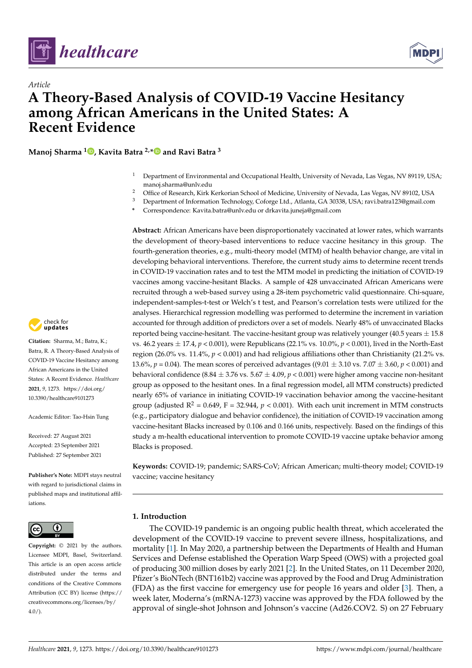



## *Article* **A Theory-Based Analysis of COVID-19 Vaccine Hesitancy among African Americans in the United States: A Recent Evidence**

**Manoj Sharma <sup>1</sup> [,](https://orcid.org/0000-0002-4624-2414) Kavita Batra 2,[\\*](https://orcid.org/0000-0002-0722-0191) and Ravi Batra <sup>3</sup>**

- <sup>1</sup> Department of Environmental and Occupational Health, University of Nevada, Las Vegas, NV 89119, USA; manoj.sharma@unlv.edu
- <sup>2</sup> Office of Research, Kirk Kerkorian School of Medicine, University of Nevada, Las Vegas, NV 89102, USA<br><sup>3</sup> Department of Information Technology Coforce Ltd., Atlanta CA 20228, USA: pavi batra122@cmail.com
- <sup>3</sup> Department of Information Technology, Coforge Ltd., Atlanta, GA 30338, USA; ravi.batra123@gmail.com
- **\*** Correspondence: Kavita.batra@unlv.edu or drkavita.juneja@gmail.com

**Abstract:** African Americans have been disproportionately vaccinated at lower rates, which warrants the development of theory-based interventions to reduce vaccine hesitancy in this group. The fourth-generation theories, e.g., multi-theory model (MTM) of health behavior change, are vital in developing behavioral interventions. Therefore, the current study aims to determine recent trends in COVID-19 vaccination rates and to test the MTM model in predicting the initiation of COVID-19 vaccines among vaccine-hesitant Blacks. A sample of 428 unvaccinated African Americans were recruited through a web-based survey using a 28-item psychometric valid questionnaire. Chi-square, independent-samples-t-test or Welch's t test, and Pearson's correlation tests were utilized for the analyses. Hierarchical regression modelling was performed to determine the increment in variation accounted for through addition of predictors over a set of models. Nearly 48% of unvaccinated Blacks reported being vaccine-hesitant. The vaccine-hesitant group was relatively younger (40.5 years  $\pm$  15.8 vs. 46.2 years ± 17.4, *p* < 0.001), were Republicans (22.1% vs. 10.0%, *p* < 0.001), lived in the North-East region (26.0% vs. 11.4%,  $p < 0.001$ ) and had religious affiliations other than Christianity (21.2% vs. 13.6%, *p* = 0.04). The mean scores of perceived advantages ((9.01 ± 3.10 vs. 7.07 ± 3.60, *p* < 0.001) and behavioral confidence (8.84  $\pm$  3.76 vs. 5.67  $\pm$  4.09,  $p < 0.001$ ) were higher among vaccine non-hesitant group as opposed to the hesitant ones. In a final regression model, all MTM constructs) predicted nearly 65% of variance in initiating COVID-19 vaccination behavior among the vaccine-hesitant group (adjusted  $R^2 = 0.649$ , F = 32.944,  $p < 0.001$ ). With each unit increment in MTM constructs (e.g., participatory dialogue and behavior confidence), the initiation of COVID-19 vaccination among vaccine-hesitant Blacks increased by 0.106 and 0.166 units, respectively. Based on the findings of this study a m-health educational intervention to promote COVID-19 vaccine uptake behavior among Blacks is proposed.

**Keywords:** COVID-19; pandemic; SARS-CoV; African American; multi-theory model; COVID-19 vaccine; vaccine hesitancy

#### **1. Introduction**

The COVID-19 pandemic is an ongoing public health threat, which accelerated the development of the COVID-19 vaccine to prevent severe illness, hospitalizations, and mortality [\[1\]](#page-11-0). In May 2020, a partnership between the Departments of Health and Human Services and Defense established the Operation Warp Speed (OWS) with a projected goal of producing 300 million doses by early 2021 [\[2\]](#page-11-1). In the United States, on 11 December 2020, Pfizer's BioNTech (BNT161b2) vaccine was approved by the Food and Drug Administration (FDA) as the first vaccine for emergency use for people 16 years and older [\[3\]](#page-12-0). Then, a week later, Moderna's (mRNA-1273) vaccine was approved by the FDA followed by the approval of single-shot Johnson and Johnson's vaccine (Ad26.COV2. S) on 27 February



**Citation:** Sharma, M.; Batra, K.; Batra, R. A Theory-Based Analysis of COVID-19 Vaccine Hesitancy among African Americans in the United States: A Recent Evidence. *Healthcare* **2021**, *9*, 1273. [https://doi.org/](https://doi.org/10.3390/healthcare9101273) [10.3390/healthcare9101273](https://doi.org/10.3390/healthcare9101273)

Academic Editor: Tao-Hsin Tung

Received: 27 August 2021 Accepted: 23 September 2021 Published: 27 September 2021

**Publisher's Note:** MDPI stays neutral with regard to jurisdictional claims in published maps and institutional affiliations.



**Copyright:** © 2021 by the authors. Licensee MDPI, Basel, Switzerland. This article is an open access article distributed under the terms and conditions of the Creative Commons Attribution (CC BY) license (https:/[/](https://creativecommons.org/licenses/by/4.0/) [creativecommons.org/licenses/by/](https://creativecommons.org/licenses/by/4.0/) 4.0/).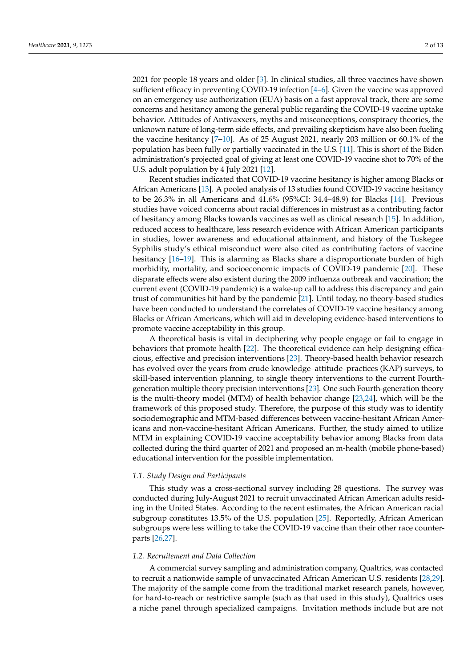2021 for people 18 years and older [\[3\]](#page-12-0). In clinical studies, all three vaccines have shown sufficient efficacy in preventing COVID-19 infection [\[4–](#page-12-1)[6\]](#page-12-2). Given the vaccine was approved on an emergency use authorization (EUA) basis on a fast approval track, there are some concerns and hesitancy among the general public regarding the COVID-19 vaccine uptake behavior. Attitudes of Antivaxxers, myths and misconceptions, conspiracy theories, the unknown nature of long-term side effects, and prevailing skepticism have also been fueling the vaccine hesitancy [\[7](#page-12-3)[–10\]](#page-12-4). As of 25 August 2021, nearly 203 million or 60.1% of the population has been fully or partially vaccinated in the U.S. [\[11\]](#page-12-5). This is short of the Biden administration's projected goal of giving at least one COVID-19 vaccine shot to 70% of the U.S. adult population by 4 July 2021 [\[12\]](#page-12-6).

Recent studies indicated that COVID-19 vaccine hesitancy is higher among Blacks or African Americans [\[13\]](#page-12-7). A pooled analysis of 13 studies found COVID-19 vaccine hesitancy to be 26.3% in all Americans and 41.6% (95%CI: 34.4–48.9) for Blacks [\[14\]](#page-12-8). Previous studies have voiced concerns about racial differences in mistrust as a contributing factor of hesitancy among Blacks towards vaccines as well as clinical research [\[15\]](#page-12-9). In addition, reduced access to healthcare, less research evidence with African American participants in studies, lower awareness and educational attainment, and history of the Tuskegee Syphilis study's ethical misconduct were also cited as contributing factors of vaccine hesitancy [\[16](#page-12-10)[–19\]](#page-12-11). This is alarming as Blacks share a disproportionate burden of high morbidity, mortality, and socioeconomic impacts of COVID-19 pandemic [\[20\]](#page-12-12). These disparate effects were also existent during the 2009 influenza outbreak and vaccination; the current event (COVID-19 pandemic) is a wake-up call to address this discrepancy and gain trust of communities hit hard by the pandemic [\[21\]](#page-12-13). Until today, no theory-based studies have been conducted to understand the correlates of COVID-19 vaccine hesitancy among Blacks or African Americans, which will aid in developing evidence-based interventions to promote vaccine acceptability in this group.

A theoretical basis is vital in deciphering why people engage or fail to engage in behaviors that promote health [\[22\]](#page-12-14). The theoretical evidence can help designing efficacious, effective and precision interventions [\[23\]](#page-12-15). Theory-based health behavior research has evolved over the years from crude knowledge–attitude–practices (KAP) surveys, to skill-based intervention planning, to single theory interventions to the current Fourthgeneration multiple theory precision interventions [\[23\]](#page-12-15). One such Fourth-generation theory is the multi-theory model (MTM) of health behavior change [\[23](#page-12-15)[,24\]](#page-12-16), which will be the framework of this proposed study. Therefore, the purpose of this study was to identify sociodemographic and MTM-based differences between vaccine-hesitant African Americans and non-vaccine-hesitant African Americans. Further, the study aimed to utilize MTM in explaining COVID-19 vaccine acceptability behavior among Blacks from data collected during the third quarter of 2021 and proposed an m-health (mobile phone-based) educational intervention for the possible implementation.

#### *1.1. Study Design and Participants*

This study was a cross-sectional survey including 28 questions. The survey was conducted during July-August 2021 to recruit unvaccinated African American adults residing in the United States. According to the recent estimates, the African American racial subgroup constitutes 13.5% of the U.S. population [\[25\]](#page-12-17). Reportedly, African American subgroups were less willing to take the COVID-19 vaccine than their other race counterparts [\[26,](#page-12-18)[27\]](#page-12-19).

#### *1.2. Recruitement and Data Collection*

A commercial survey sampling and administration company, Qualtrics, was contacted to recruit a nationwide sample of unvaccinated African American U.S. residents [\[28,](#page-12-20)[29\]](#page-13-0). The majority of the sample come from the traditional market research panels, however, for hard-to-reach or restrictive sample (such as that used in this study), Qualtrics uses a niche panel through specialized campaigns. Invitation methods include but are not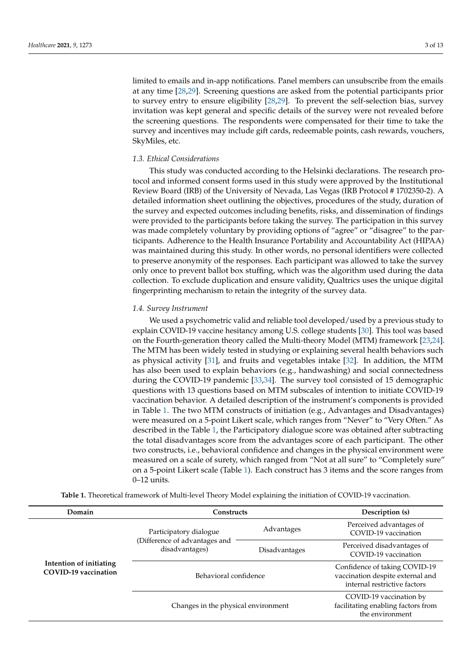limited to emails and in-app notifications. Panel members can unsubscribe from the emails at any time [\[28](#page-12-20)[,29\]](#page-13-0). Screening questions are asked from the potential participants prior to survey entry to ensure eligibility [\[28](#page-12-20)[,29\]](#page-13-0). To prevent the self-selection bias, survey invitation was kept general and specific details of the survey were not revealed before the screening questions. The respondents were compensated for their time to take the survey and incentives may include gift cards, redeemable points, cash rewards, vouchers, SkyMiles, etc.

#### *1.3. Ethical Considerations*

This study was conducted according to the Helsinki declarations. The research protocol and informed consent forms used in this study were approved by the Institutional Review Board (IRB) of the University of Nevada, Las Vegas (IRB Protocol # 1702350-2). A detailed information sheet outlining the objectives, procedures of the study, duration of the survey and expected outcomes including benefits, risks, and dissemination of findings were provided to the participants before taking the survey. The participation in this survey was made completely voluntary by providing options of "agree" or "disagree" to the participants. Adherence to the Health Insurance Portability and Accountability Act (HIPAA) was maintained during this study. In other words, no personal identifiers were collected to preserve anonymity of the responses. Each participant was allowed to take the survey only once to prevent ballot box stuffing, which was the algorithm used during the data collection. To exclude duplication and ensure validity, Qualtrics uses the unique digital fingerprinting mechanism to retain the integrity of the survey data.

#### *1.4. Survey Instrument*

We used a psychometric valid and reliable tool developed/used by a previous study to explain COVID-19 vaccine hesitancy among U.S. college students [\[30\]](#page-13-1). This tool was based on the Fourth-generation theory called the Multi-theory Model (MTM) framework [\[23](#page-12-15)[,24\]](#page-12-16). The MTM has been widely tested in studying or explaining several health behaviors such as physical activity [\[31\]](#page-13-2), and fruits and vegetables intake [\[32\]](#page-13-3). In addition, the MTM has also been used to explain behaviors (e.g., handwashing) and social connectedness during the COVID-19 pandemic [\[33](#page-13-4)[,34\]](#page-13-5). The survey tool consisted of 15 demographic questions with 13 questions based on MTM subscales of intention to initiate COVID-19 vaccination behavior. A detailed description of the instrument's components is provided in Table [1.](#page-3-0) The two MTM constructs of initiation (e.g., Advantages and Disadvantages) were measured on a 5-point Likert scale, which ranges from "Never" to "Very Often." As described in the Table [1,](#page-3-0) the Participatory dialogue score was obtained after subtracting the total disadvantages score from the advantages score of each participant. The other two constructs, i.e., behavioral confidence and changes in the physical environment were measured on a scale of surety, which ranged from "Not at all sure" to "Completely sure" on a 5-point Likert scale (Table [1\)](#page-3-0). Each construct has 3 items and the score ranges from 0–12 units.

<span id="page-3-0"></span>

| Domain                                                 | <b>Constructs</b>                               | Description (s)                                                                                   |                                                    |
|--------------------------------------------------------|-------------------------------------------------|---------------------------------------------------------------------------------------------------|----------------------------------------------------|
|                                                        | Participatory dialogue                          | Advantages                                                                                        | Perceived advantages of<br>COVID-19 vaccination    |
|                                                        | (Difference of advantages and<br>disadvantages) | Disadvantages                                                                                     | Perceived disadvantages of<br>COVID-19 vaccination |
| Intention of initiating<br><b>COVID-19</b> vaccination | Behavioral confidence                           | Confidence of taking COVID-19<br>vaccination despite external and<br>internal restrictive factors |                                                    |
|                                                        | Changes in the physical environment             | COVID-19 vaccination by<br>facilitating enabling factors from<br>the environment                  |                                                    |

**Table 1.** Theoretical framework of Multi-level Theory Model explaining the initiation of COVID-19 vaccination.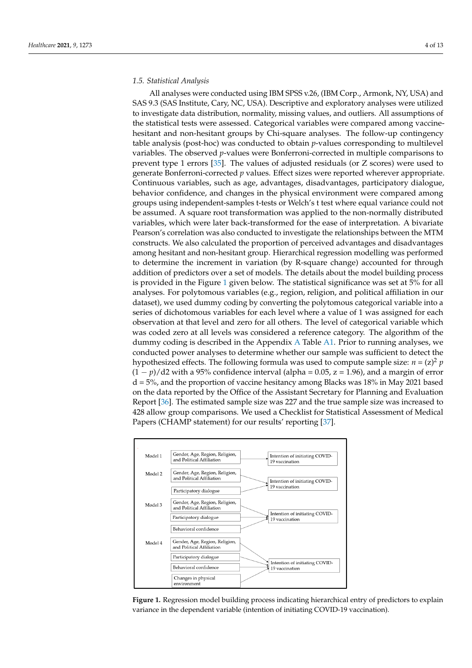#### *1.5. Statistical Analysis*

All analyses were conducted using IBM SPSS v.26, (IBM Corp., Armonk, NY, USA) and SAS 9.3 (SAS Institute, Cary, NC, USA). Descriptive and exploratory analyses were utilized to investigate data distribution, normality, missing values, and outliers. All assumptions of the statistical tests were assessed. Categorical variables were compared among vaccinehesitant and non-hesitant groups by Chi-square analyses. The follow-up contingency table analysis (post-hoc) was conducted to obtain *p*-values corresponding to multilevel variables. The observed *p*-values were Bonferroni-corrected in multiple comparisons to prevent type 1 errors [\[35\]](#page-13-6). The values of adjusted residuals (or Z scores) were used to generate Bonferroni-corrected *p* values. Effect sizes were reported wherever appropriate. Continuous variables, such as age, advantages, disadvantages, participatory dialogue, behavior confidence, and changes in the physical environment were compared among groups using independent-samples t-tests or Welch's t test where equal variance could not be assumed. A square root transformation was applied to the non-normally distributed variables, which were later back-transformed for the ease of interpretation. A bivariate Pearson's correlation was also conducted to investigate the relationships between the MTM constructs. We also calculated the proportion of perceived advantages and disadvantages among hesitant and non-hesitant group. Hierarchical regression modelling was performed to determine the increment in variation (by R-square change) accounted for through addition of predictors over a set of models. The details about the model building process is provided in the Figure [1](#page-4-0) given below. The statistical significance was set at 5% for all analyses. For polytomous variables (e.g., region, religion, and political affiliation in our dataset), we used dummy coding by converting the polytomous categorical variable into a series of dichotomous variables for each level where a value of 1 was assigned for each observation at that level and zero for all others. The level of categorical variable which was coded zero at all levels was considered a reference category. The algorithm of the dummy coding is described in the Appendix [A](#page-11-2) Table [A1.](#page-11-3) Prior to running analyses, we conducted power analyses to determine whether our sample was sufficient to detect the hypothesized effects. The following formula was used to compute sample size:  $n = (z)^2 p$ (1 − *p*)/d2 with a 95% confidence interval (alpha = 0.05, z = 1.96), and a margin of error d = 5%, and the proportion of vaccine hesitancy among Blacks was 18% in May 2021 based on the data reported by the Office of the Assistant Secretary for Planning and Evaluation Report [\[36\]](#page-13-7). The estimated sample size was 227 and the true sample size was increased to 428 allow group comparisons. We used a Checklist for Statistical Assessment of Medical Papers (CHAMP statement) for our results' reporting [\[37\]](#page-13-8).

<span id="page-4-0"></span>

Figure 1. Regression model building process indicating hierarchical entry of predictors to explain variance in the dependent variable (intention of initiating COVID-19 vaccination).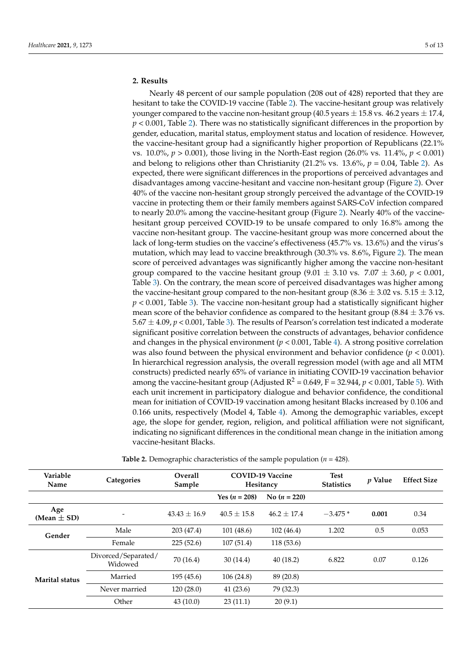#### **2. Results**

Nearly 48 percent of our sample population (208 out of 428) reported that they are hesitant to take the COVID-19 vaccine (Table [2\)](#page-6-0). The vaccine-hesitant group was relatively younger compared to the vaccine non-hesitant group (40.5 years  $\pm$  15.8 vs. 46.2 years  $\pm$  17.4, *p* < 0.001, Table [2\)](#page-6-0). There was no statistically significant differences in the proportion by gender, education, marital status, employment status and location of residence. However, the vaccine-hesitant group had a significantly higher proportion of Republicans (22.1% vs.  $10.0\%$ ,  $p > 0.001$ ), those living in the North-East region (26.0% vs.  $11.4\%$ ,  $p < 0.001$ ) and belong to religions other than Christianity  $(21.2\% \text{ vs. } 13.6\%, p = 0.04, \text{ Table 2}).$  As expected, there were significant differences in the proportions of perceived advantages and disadvantages among vaccine-hesitant and vaccine non-hesitant group (Figure [2\)](#page-7-0). Over 40% of the vaccine non-hesitant group strongly perceived the advantage of the COVID-19 vaccine in protecting them or their family members against SARS-CoV infection compared to nearly 20.0% among the vaccine-hesitant group (Figure [2\)](#page-7-0). Nearly 40% of the vaccinehesitant group perceived COVID-19 to be unsafe compared to only 16.8% among the vaccine non-hesitant group. The vaccine-hesitant group was more concerned about the lack of long-term studies on the vaccine's effectiveness (45.7% vs. 13.6%) and the virus's mutation, which may lead to vaccine breakthrough (30.3% vs. 8.6%, Figure [2\)](#page-7-0). The mean score of perceived advantages was significantly higher among the vaccine non-hesitant group compared to the vaccine hesitant group  $(9.01 \pm 3.10 \text{ vs. } 7.07 \pm 3.60, p < 0.001,$ Table [3\)](#page-7-1). On the contrary, the mean score of perceived disadvantages was higher among the vaccine-hesitant group compared to the non-hesitant group (8.36  $\pm$  3.02 vs. 5.15  $\pm$  3.12, *p* < 0.001, Table [3\)](#page-7-1). The vaccine non-hesitant group had a statistically significant higher mean score of the behavior confidence as compared to the hesitant group  $(8.84 \pm 3.76 \text{ vs.})$ 5.67  $\pm$  4.09,  $p < 0.001$ , Table [3\)](#page-7-1). The results of Pearson's correlation test indicated a moderate significant positive correlation between the constructs of advantages, behavior confidence and changes in the physical environment  $(p < 0.001$ , Table [4\)](#page-7-2). A strong positive correlation was also found between the physical environment and behavior confidence  $(p < 0.001)$ . In hierarchical regression analysis, the overall regression model (with age and all MTM constructs) predicted nearly 65% of variance in initiating COVID-19 vaccination behavior among the vaccine-hesitant group (Adjusted  $R^2 = 0.649$ ,  $F = 32.944$ ,  $p < 0.001$ , Table [5\)](#page-8-0). With each unit increment in participatory dialogue and behavior confidence, the conditional mean for initiation of COVID-19 vaccination among hesitant Blacks increased by 0.106 and 0.166 units, respectively (Model 4, Table [4\)](#page-7-2). Among the demographic variables, except age, the slope for gender, region, religion, and political affiliation were not significant, indicating no significant differences in the conditional mean change in the initiation among vaccine-hesitant Blacks.

| Variable<br>Name       | Categories                     | Overall<br>Sample | <b>COVID-19 Vaccine</b><br>Hesitancy |                | <b>Test</b><br><b>Statistics</b> | <i>p</i> Value | <b>Effect Size</b> |
|------------------------|--------------------------------|-------------------|--------------------------------------|----------------|----------------------------------|----------------|--------------------|
|                        |                                |                   | Yes $(n = 208)$                      | No $(n = 220)$ |                                  |                |                    |
| Age<br>(Mean $\pm$ SD) |                                | $43.43 + 16.9$    | $40.5 + 15.8$                        | $46.2 + 17.4$  | $-3.475*$                        | 0.001          | 0.34               |
| Gender                 | Male                           | 203 (47.4)        | 101(48.6)                            | 102(46.4)      | 1.202                            | 0.5            | 0.053              |
|                        | Female                         | 225(52.6)         | 107(51.4)                            | 118 (53.6)     |                                  |                |                    |
|                        | Divorced/Separated/<br>Widowed | 70 (16.4)         | 30(14.4)                             | 40(18.2)       | 6.822                            | 0.07           | 0.126              |
| <b>Marital status</b>  | Married                        | 195(45.6)         | 106(24.8)                            | 89 (20.8)      |                                  |                |                    |
|                        | Never married                  | 120(28.0)         | 41(23.6)                             | 79 (32.3)      |                                  |                |                    |
|                        | Other                          | 43(10.0)          | 23(11.1)                             | 20(9.1)        |                                  |                |                    |

**Table 2.** Demographic characteristics of the sample population ( $n = 428$ ).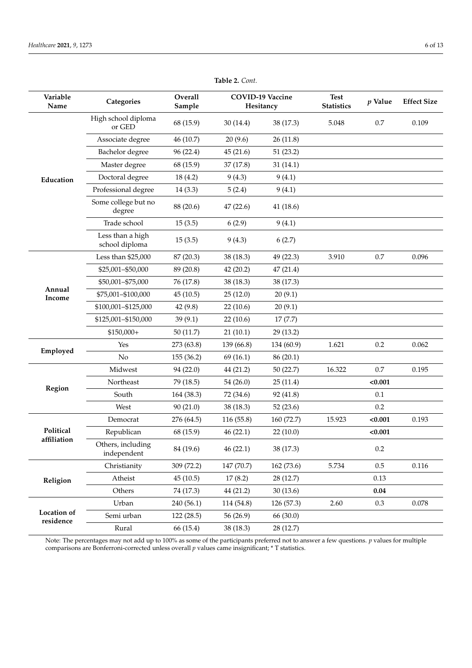<span id="page-6-0"></span>

| Variable<br>Name                | Categories                         | Overall<br>Sample | COVID-19 Vaccine<br>Hesitancy |            | <b>Test</b><br><b>Statistics</b> | $p$ Value | <b>Effect Size</b> |
|---------------------------------|------------------------------------|-------------------|-------------------------------|------------|----------------------------------|-----------|--------------------|
|                                 | High school diploma<br>or GED      | 68 (15.9)         | 30(14.4)                      | 38 (17.3)  | 5.048                            | 0.7       | 0.109              |
|                                 | Associate degree                   | 46 (10.7)         | 20(9.6)                       | 26(11.8)   |                                  |           |                    |
|                                 | Bachelor degree                    | 96 (22.4)         | 45(21.6)                      | 51(23.2)   |                                  |           |                    |
|                                 | Master degree                      | 68 (15.9)         | 37(17.8)                      | 31(14.1)   |                                  |           |                    |
| Education                       | Doctoral degree                    | 18(4.2)           | 9(4.3)                        | 9(4.1)     |                                  |           |                    |
|                                 | Professional degree                | 14(3.3)           | 5(2.4)                        | 9(4.1)     |                                  |           |                    |
|                                 | Some college but no<br>degree      | 88 (20.6)         | 47(22.6)                      | 41(18.6)   |                                  |           |                    |
|                                 | Trade school                       | 15(3.5)           | 6(2.9)                        | 9(4.1)     |                                  |           |                    |
|                                 | Less than a high<br>school diploma | 15(3.5)           | 9(4.3)                        | 6(2.7)     |                                  |           |                    |
|                                 | Less than \$25,000                 | 87 (20.3)         | 38 (18.3)                     | 49 (22.3)  | 3.910                            | $0.7\,$   | 0.096              |
|                                 | \$25,001-\$50,000                  | 89 (20.8)         | 42 (20.2)                     | 47(21.4)   |                                  |           |                    |
|                                 | \$50,001-\$75,000                  | 76 (17.8)         | 38 (18.3)                     | 38 (17.3)  |                                  |           |                    |
| Annual<br>Income                | \$75,001-\$100,000                 | 45(10.5)          | 25(12.0)                      | 20(9.1)    |                                  |           |                    |
|                                 | \$100,001-\$125,000                | 42(9.8)           | 22(10.6)                      | 20(9.1)    |                                  |           |                    |
|                                 | \$125,001-\$150,000                | 39 (9.1)          | 22(10.6)                      | 17(7.7)    |                                  |           |                    |
|                                 | $$150,000+$                        | 50(11.7)          | 21(10.1)                      | 29 (13.2)  |                                  |           |                    |
|                                 | Yes                                | 273 (63.8)        | 139 (66.8)                    | 134 (60.9) | 1.621                            | $0.2\,$   | 0.062              |
| Employed                        | No                                 | 155 (36.2)        | 69(16.1)                      | 86 (20.1)  |                                  |           |                    |
|                                 | Midwest                            | 94 (22.0)         | 44 (21.2)                     | 50(22.7)   | 16.322                           | 0.7       | 0.195              |
|                                 | Northeast                          | 79 (18.5)         | 54(26.0)                      | 25(11.4)   |                                  | < 0.001   |                    |
| Region                          | South                              | 164 (38.3)        | 72 (34.6)                     | 92 (41.8)  |                                  | 0.1       |                    |
|                                 | West                               | 90(21.0)          | 38 (18.3)                     | 52(23.6)   |                                  | 0.2       |                    |
|                                 | Democrat                           | 276 (64.5)        | 116 (55.8)                    | 160 (72.7) | 15.923                           | < 0.001   | 0.193              |
| Political                       | Republican                         | 68 (15.9)         | 46(22.1)                      | 22(10.0)   |                                  | < 0.001   |                    |
| affiliation                     | Others, including<br>independent   | 84 (19.6)         | 46(22.1)                      | 38 (17.3)  |                                  | $0.2\,$   |                    |
|                                 | Christianity                       | 309 (72.2)        | 147 (70.7)                    | 162 (73.6) | 5.734                            | $0.5\,$   | 0.116              |
| Religion                        | Atheist                            | 45(10.5)          | 17(8.2)                       | 28 (12.7)  |                                  | 0.13      |                    |
|                                 | Others                             | 74 (17.3)         | 44 (21.2)                     | 30(13.6)   |                                  | 0.04      |                    |
|                                 | Urban                              | 240 (56.1)        | 114 (54.8)                    | 126 (57.3) | 2.60                             | $0.3\,$   | 0.078              |
| <b>Location of</b><br>residence | Semi urban                         | 122 (28.5)        | 56 (26.9)                     | 66 (30.0)  |                                  |           |                    |
|                                 | Rural                              | 66 (15.4)         | 38 (18.3)                     | 28 (12.7)  |                                  |           |                    |

**Table 2.** *Cont.*

Note: The percentages may not add up to 100% as some of the participants preferred not to answer a few questions. *p* values for multiple comparisons are Bonferroni-corrected unless overall *p* values came insignificant; \* T statistics.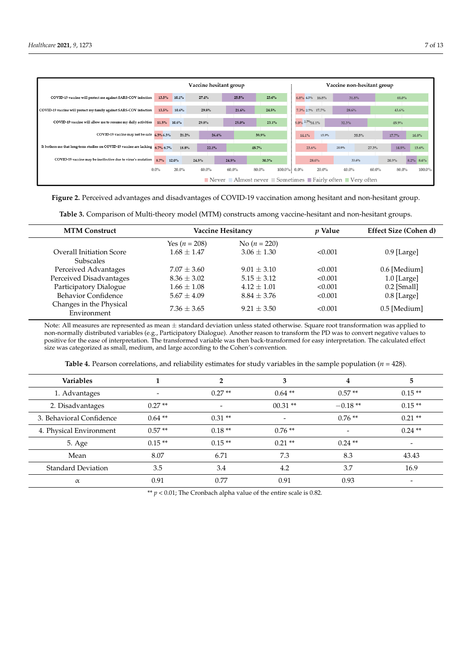<span id="page-7-0"></span>

Note: The percentages may not add up to 100% as some of the participants preferred not to answer a few questions. *p*

Figure 2. Perceived advantages and disadvantages of COVID-19 vaccination among hesitant and non-hesitant group.

**Table 3.** Comparison of Multi-theory model (MTM) constructs among vaccine-hesitant and non-**Table 3.** Comparison of Multi-theory model (MTM) constructs among vaccine-hesitant and non-hesitant groups.

<span id="page-7-1"></span>

| <b>MTM Construct</b>                   |                 | Vaccine Hesitancy |         | Effect Size (Cohen d) |
|----------------------------------------|-----------------|-------------------|---------|-----------------------|
|                                        | Yes $(n = 208)$ | No $(n = 220)$    |         |                       |
| Overall Initiation Score               | $1.68 + 1.47$   | $3.06 + 1.30$     | < 0.001 | $0.9$ [Large]         |
| <b>Subscales</b>                       |                 |                   |         |                       |
| Perceived Advantages                   | $7.07 + 3.60$   | $9.01 + 3.10$     | < 0.001 | 0.6 [Medium]          |
| Perceived Disadvantages                | $8.36 + 3.02$   | $5.15 \pm 3.12$   | < 0.001 | $1.0$ [Large]         |
| Participatory Dialogue                 | $1.66 + 1.08$   | $4.12 + 1.01$     | < 0.001 | $0.2$ [Small]         |
| Behavior Confidence                    | $5.67 + 4.09$   | $8.84 + 3.76$     | < 0.001 | 0.8 [Large]           |
| Changes in the Physical<br>Environment | $7.36 + 3.65$   | $9.21 + 3.50$     | < 0.001 | 0.5 [Medium]          |
|                                        |                 |                   |         |                       |

Changes in the Physical assume  $\pm$  standard deviation unless stated otherwise. Square root transformation was applied to  $\pm$  2.50  $\pm$  3.65  $\pm$  3.65  $\pm$  3.50  $\pm$  3.50  $\pm$  3.50  $\pm$  3.50  $\pm$  3.50  $\pm$  3.50  $\pm$  3.50 positive for the ease of interpretation. The transformed variable was then back-transformed for easy interpretation. The calculated effect size was categorized as small, medium, and large according to the Cohen's convention. non-normally distributed variables (e.g., Participatory Dialogue). Another reason to transform the PD was to convert negative values to

**Table 4.** Pearson correlations, and reliability estimates for study variables in the sample population ( $n=428$ ).

<span id="page-7-2"></span>

| <b>Variables</b>          |          | 2        | 3         | 4         | 5                        |
|---------------------------|----------|----------|-----------|-----------|--------------------------|
| 1. Advantages             |          | $0.27**$ | $0.64**$  | $0.57**$  | $0.15**$                 |
| 2. Disadvantages          | $0.27**$ |          | $00.31**$ | $-0.18**$ | $0.15**$                 |
| 3. Behavioral Confidence  | $0.64**$ | $0.31**$ |           | $0.76**$  | $0.21**$                 |
| 4. Physical Environment   | $0.57**$ | $0.18**$ | $0.76**$  |           | $0.24$ **                |
| 5. Age                    | $0.15**$ | $0.15**$ | $0.21**$  | $0.24$ ** |                          |
| Mean                      | 8.07     | 6.71     | 7.3       | 8.3       | 43.43                    |
| <b>Standard Deviation</b> | 3.5      | 3.4      | 4.2       | 3.7       | 16.9                     |
| $\alpha$                  | 0.91     | 0.77     | 0.91      | 0.93      | $\overline{\phantom{0}}$ |

\*\*  $p < 0.01$ ; The Cronbach alpha value of the entire scale is 0.82.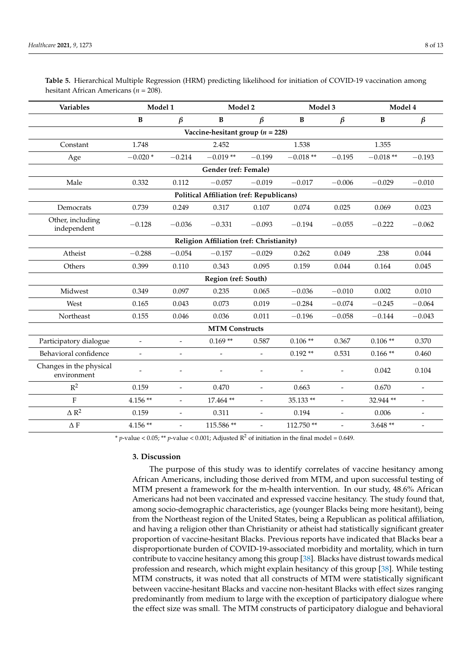| Variables                              | Model 1                  |                          | Model 2                                         |                          | Model 3      |                          | Model 4    |                          |
|----------------------------------------|--------------------------|--------------------------|-------------------------------------------------|--------------------------|--------------|--------------------------|------------|--------------------------|
|                                        | $\, {\bf B}$             | $\beta$                  | $\, {\bf B}$                                    | $\beta$                  | $\, {\bf B}$ | $\beta$                  | B          | $\beta$                  |
| Vaccine-hesitant group ( $n = 228$ )   |                          |                          |                                                 |                          |              |                          |            |                          |
| Constant                               | 1.748                    |                          | 2.452                                           |                          | 1.538        |                          | 1.355      |                          |
| Age                                    | $-0.020*$                | $-0.214$                 | $-0.019**$                                      | $-0.199$                 | $-0.018**$   | $-0.195$                 | $-0.018**$ | $-0.193$                 |
|                                        |                          |                          | Gender (ref: Female)                            |                          |              |                          |            |                          |
| Male                                   | 0.332                    | 0.112                    | $-0.057$                                        | $-0.019$                 | $-0.017$     | $-0.006$                 | $-0.029$   | $-0.010$                 |
|                                        |                          |                          | <b>Political Affiliation (ref: Republicans)</b> |                          |              |                          |            |                          |
| Democrats                              | 0.739                    | 0.249                    | 0.317                                           | 0.107                    | 0.074        | 0.025                    | 0.069      | 0.023                    |
| Other, including<br>independent        | $-0.128$                 | $-0.036$                 | $-0.331$                                        | $-0.093$                 | $-0.194$     | $-0.055$                 | $-0.222$   | $-0.062$                 |
|                                        |                          |                          | Religion Affiliation (ref: Christianity)        |                          |              |                          |            |                          |
| Atheist                                | $-0.288$                 | $-0.054$                 | $-0.157$                                        | $-0.029$                 | 0.262        | 0.049                    | .238       | 0.044                    |
| Others                                 | 0.399                    | 0.110                    | 0.343                                           | 0.095                    | 0.159        | 0.044                    | 0.164      | 0.045                    |
|                                        |                          |                          | Region (ref: South)                             |                          |              |                          |            |                          |
| Midwest                                | 0.349                    | 0.097                    | 0.235                                           | 0.065                    | $-0.036$     | $-0.010$                 | 0.002      | 0.010                    |
| West                                   | 0.165                    | 0.043                    | 0.073                                           | 0.019                    | $-0.284$     | $-0.074$                 | $-0.245$   | $-0.064$                 |
| Northeast                              | 0.155                    | 0.046                    | 0.036                                           | 0.011                    | $-0.196$     | $-0.058$                 | $-0.144$   | $-0.043$                 |
|                                        |                          |                          | <b>MTM Constructs</b>                           |                          |              |                          |            |                          |
| Participatory dialogue                 | $\overline{\phantom{a}}$ | $\overline{\phantom{a}}$ | $0.169**$                                       | 0.587                    | $0.106**$    | 0.367                    | $0.106**$  | 0.370                    |
| Behavioral confidence                  | $\overline{\phantom{a}}$ | $\overline{\phantom{a}}$ | $\overline{\phantom{a}}$                        | $\overline{\phantom{m}}$ | $0.192**$    | 0.531                    | $0.166**$  | 0.460                    |
| Changes in the physical<br>environment |                          |                          |                                                 |                          |              |                          | 0.042      | 0.104                    |
| $R^2$                                  | 0.159                    | $\overline{a}$           | 0.470                                           | $\overline{\phantom{a}}$ | 0.663        | $\overline{\phantom{m}}$ | 0.670      | $\overline{\phantom{a}}$ |
| $\rm F$                                | 4.156**                  | $\overline{a}$           | 17.464**                                        | $\overline{a}$           | 35.133**     | $\overline{a}$           | 32.944 **  | $\overline{\phantom{a}}$ |
| $\Delta$ $\rm R^2$                     | 0.159                    | $\overline{\phantom{a}}$ | 0.311                                           | $\frac{1}{2}$            | 0.194        | $\overline{a}$           | 0.006      | $\overline{\phantom{a}}$ |
| $\Delta$ F                             | 4.156**                  | $\overline{\phantom{a}}$ | 115.586 **                                      | $\overline{\phantom{a}}$ | 112.750**    | $\overline{a}$           | $3.648**$  | $\overline{\phantom{a}}$ |

<span id="page-8-0"></span>

| Table 5. Hierarchical Multiple Regression (HRM) predicting likelihood for initiation of COVID-19 vaccination among |  |
|--------------------------------------------------------------------------------------------------------------------|--|
| hesitant African Americans ( $n = 208$ ).                                                                          |  |

 $*$  *p*-value < 0.05;  $**$  *p*-value < 0.001; Adjusted R<sup>2</sup> of initiation in the final model = 0.649.

#### **3. Discussion**

The purpose of this study was to identify correlates of vaccine hesitancy among African Americans, including those derived from MTM, and upon successful testing of MTM present a framework for the m-health intervention. In our study, 48.6% African Americans had not been vaccinated and expressed vaccine hesitancy. The study found that, among socio-demographic characteristics, age (younger Blacks being more hesitant), being from the Northeast region of the United States, being a Republican as political affiliation, and having a religion other than Christianity or atheist had statistically significant greater proportion of vaccine-hesitant Blacks. Previous reports have indicated that Blacks bear a disproportionate burden of COVID-19-associated morbidity and mortality, which in turn contribute to vaccine hesitancy among this group [\[38\]](#page-13-9). Blacks have distrust towards medical profession and research, which might explain hesitancy of this group [\[38\]](#page-13-9). While testing MTM constructs, it was noted that all constructs of MTM were statistically significant between vaccine-hesitant Blacks and vaccine non-hesitant Blacks with effect sizes ranging predominantly from medium to large with the exception of participatory dialogue where the effect size was small. The MTM constructs of participatory dialogue and behavioral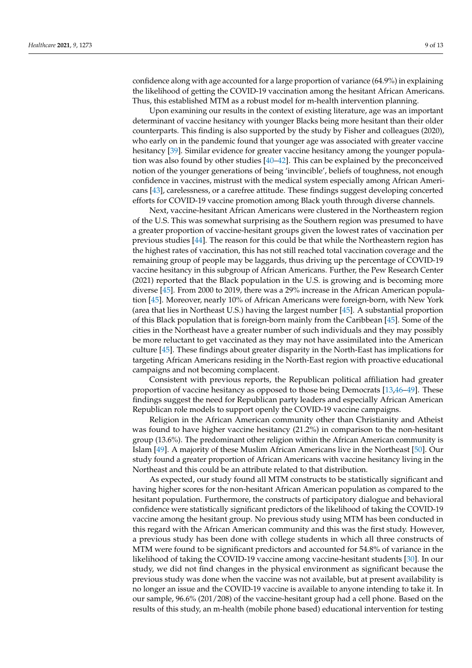confidence along with age accounted for a large proportion of variance (64.9%) in explaining the likelihood of getting the COVID-19 vaccination among the hesitant African Americans. Thus, this established MTM as a robust model for m-health intervention planning.

Upon examining our results in the context of existing literature, age was an important determinant of vaccine hesitancy with younger Blacks being more hesitant than their older counterparts. This finding is also supported by the study by Fisher and colleagues (2020), who early on in the pandemic found that younger age was associated with greater vaccine hesitancy [\[39\]](#page-13-10). Similar evidence for greater vaccine hesitancy among the younger population was also found by other studies [\[40–](#page-13-11)[42\]](#page-13-12). This can be explained by the preconceived notion of the younger generations of being 'invincible', beliefs of toughness, not enough confidence in vaccines, mistrust with the medical system especially among African Americans [\[43\]](#page-13-13), carelessness, or a carefree attitude. These findings suggest developing concerted efforts for COVID-19 vaccine promotion among Black youth through diverse channels.

Next, vaccine-hesitant African Americans were clustered in the Northeastern region of the U.S. This was somewhat surprising as the Southern region was presumed to have a greater proportion of vaccine-hesitant groups given the lowest rates of vaccination per previous studies [\[44\]](#page-13-14). The reason for this could be that while the Northeastern region has the highest rates of vaccination, this has not still reached total vaccination coverage and the remaining group of people may be laggards, thus driving up the percentage of COVID-19 vaccine hesitancy in this subgroup of African Americans. Further, the Pew Research Center (2021) reported that the Black population in the U.S. is growing and is becoming more diverse [\[45\]](#page-13-15). From 2000 to 2019, there was a 29% increase in the African American population [\[45\]](#page-13-15). Moreover, nearly 10% of African Americans were foreign-born, with New York (area that lies in Northeast U.S.) having the largest number [\[45\]](#page-13-15). A substantial proportion of this Black population that is foreign-born mainly from the Caribbean [\[45\]](#page-13-15). Some of the cities in the Northeast have a greater number of such individuals and they may possibly be more reluctant to get vaccinated as they may not have assimilated into the American culture [\[45\]](#page-13-15). These findings about greater disparity in the North-East has implications for targeting African Americans residing in the North-East region with proactive educational campaigns and not becoming complacent.

Consistent with previous reports, the Republican political affiliation had greater proportion of vaccine hesitancy as opposed to those being Democrats [\[13](#page-12-7)[,46](#page-13-16)[–49\]](#page-13-17). These findings suggest the need for Republican party leaders and especially African American Republican role models to support openly the COVID-19 vaccine campaigns.

Religion in the African American community other than Christianity and Atheist was found to have higher vaccine hesitancy (21.2%) in comparison to the non-hesitant group (13.6%). The predominant other religion within the African American community is Islam [\[49\]](#page-13-17). A majority of these Muslim African Americans live in the Northeast [\[50\]](#page-13-18). Our study found a greater proportion of African Americans with vaccine hesitancy living in the Northeast and this could be an attribute related to that distribution.

As expected, our study found all MTM constructs to be statistically significant and having higher scores for the non-hesitant African American population as compared to the hesitant population. Furthermore, the constructs of participatory dialogue and behavioral confidence were statistically significant predictors of the likelihood of taking the COVID-19 vaccine among the hesitant group. No previous study using MTM has been conducted in this regard with the African American community and this was the first study. However, a previous study has been done with college students in which all three constructs of MTM were found to be significant predictors and accounted for 54.8% of variance in the likelihood of taking the COVID-19 vaccine among vaccine-hesitant students [\[30\]](#page-13-1). In our study, we did not find changes in the physical environment as significant because the previous study was done when the vaccine was not available, but at present availability is no longer an issue and the COVID-19 vaccine is available to anyone intending to take it. In our sample, 96.6% (201/208) of the vaccine-hesitant group had a cell phone. Based on the results of this study, an m-health (mobile phone based) educational intervention for testing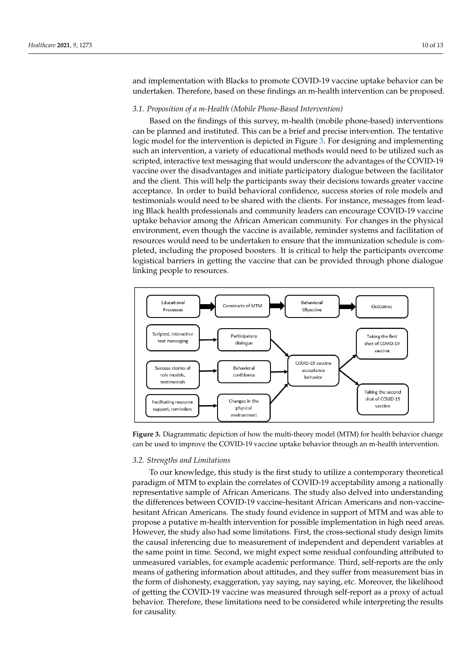and implementation with Blacks to promote COVID-19 vaccine uptake behavior can be undertaken. Therefore, based on these findings an m-health intervention can be proposed. intervention can be proposed.

### *3.1. Proposition of a m-Health (Mobile Phone-Based Intervention) 3.1. Proposition of a m-Health (Mobile Phone-Based Intervention)*

Based on the findings of this survey, m-health (mobile phone-based) interventions Based on the findings of this survey, m-health (mobile phone-based) interventions can be planned and instituted. This can be a brief and precise intervention. The tentative can be planned and instituted. This can be a brief and precise intervention. The tentative logic model for the intervention is depicted in Figure 3. For designing and implementing logic model for the intervention is depicted in Figure [3.](#page-10-0) For designing and implementing such an intervention, a variety of educational methods would need to be utilized such as such an intervention, a variety of educational methods would need to be utilized such as scripted, interactive text messaging that would underscore the advantages of the COVID-19 scripted, interactive text messaging that would underscore the advantages of the COVIDvaccine over the disadvantages and initiate participatory dialogue between the facilitator and the client. This will help the participants sway their decisions towards greater vaccine acceptance. In order to build behavioral confidence, success stories of role models and testimonials would need to be shared with the clients. For instance, messages from leading Black health professionals and community leaders can encourage COVID-19 vaccine uptake behavior among the African American community. For changes in the physical environment, even though the vaccine is available, reminder systems and facilitation of resources would need to be undertaken to ensure that the immunization schedule is completed, including the proposed boosters. It is critical to help the participants overcome logistical barriers in getting the vaccine that can be provided through phone dialogue logistical barriers in getting the vaccine that can be provided through phone dialogue linking people to resources. linking people to resources.

<span id="page-10-0"></span>

**Figure 3.** Diagrammatic depiction of how the multi-theory model (MTM) for health behavior change **Figure 3.** Diagrammatic depiction of how the multi-theory model (MTM) for health behavior change can be used to improve the COVID-19 vaccine uptake behavior through an m-health intervention. can be used to improve the COVID-19 vaccine uptake behavior through an m-health intervention.

#### *3.2. Strengths and Limitations 3.2. Strengths and Limitations*

To our knowledge, this study is the first study to utilize a contemporary theoretical To our knowledge, this study is the first study to utilize a contemporary theoretical paradigm of MTM to explain the correlates of COVID-19 acceptability among a nationally paradigm of MTM to explain the correlates of COVID-19 acceptability among a nationally representative sample of African Americans. The study also delved into understanding representative sample of African Americans. The study also delved into understanding the differences between COVID-19 vaccine-hesitant African Americans and non-vaccine-the differences between COVID-19 vaccine-hesitant African Americans and non-vaccinehesitant African Americans. The study found evidence in support of MTM and was able hesitant African Americans. The study found evidence in support of MTM and was able to propose a putative m-health intervention for possible implementation in high need areas. However, the study also had some limitations. First, the cross-sectional study design limits the causal inferencing due to measurement of independent and dependent variables at at the same point in time. Second, we might expect some residual confounding attributed the same point in time. Second, we might expect some residual confounding attributed to unmeasured variables, for example academic performance. Third, self-reports are the only means of gathering information about attitudes, and they suffer from measurement bias in the form of dishonesty, exaggeration, yay saying, nay saying, etc. Moreover, the likelihood of getting the COVID-19 vaccine was measured through self-report as a proxy of actual behavior. Therefore, these limitations need to be considered while interpreting the results for causality.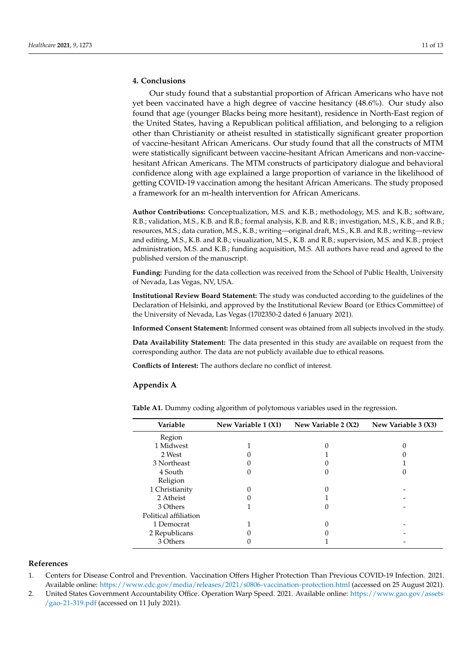#### **4. Conclusions**

Our study found that a substantial proportion of African Americans who have not yet been vaccinated have a high degree of vaccine hesitancy (48.6%). Our study also found that age (younger Blacks being more hesitant), residence in North-East region of the United States, having a Republican political affiliation, and belonging to a religion other than Christianity or atheist resulted in statistically significant greater proportion of vaccine-hesitant African Americans. Our study found that all the constructs of MTM were statistically significant between vaccine-hesitant African Americans and non-vaccinehesitant African Americans. The MTM constructs of participatory dialogue and behavioral confidence along with age explained a large proportion of variance in the likelihood of getting COVID-19 vaccination among the hesitant African Americans. The study proposed a framework for an m-health intervention for African Americans.

**Author Contributions:** Conceptualization, M.S. and K.B.; methodology, M.S. and K.B.; software, R.B.; validation, M.S., K.B. and R.B.; formal analysis, K.B. and R.B.; investigation, M.S., K.B., and R.B.; resources, M.S.; data curation, M.S., K.B.; writing—original draft, M.S., K.B. and R.B.; writing—review and editing, M.S., K.B. and R.B.; visualization, M.S., K.B. and R.B.; supervision, M.S. and K.B.; project administration, M.S. and K.B.; funding acquisition, M.S. All authors have read and agreed to the published version of the manuscript.

**Funding:** Funding for the data collection was received from the School of Public Health, University of Nevada, Las Vegas, NV, USA.

**Institutional Review Board Statement:** The study was conducted according to the guidelines of the Declaration of Helsinki, and approved by the Institutional Review Board (or Ethics Committee) of the University of Nevada, Las Vegas (1702350-2 dated 6 January 2021).

**Informed Consent Statement:** Informed consent was obtained from all subjects involved in the study.

**Data Availability Statement:** The data presented in this study are available on request from the corresponding author. The data are not publicly available due to ethical reasons.

**Conflicts of Interest:** The authors declare no conflict of interest.

#### <span id="page-11-2"></span>**Appendix A**

<span id="page-11-3"></span>**Table A1.** Dummy coding algorithm of polytomous variables used in the regression.

| Variable              | New Variable 1 (X1) | New Variable 2 (X2) | New Variable 3 (X3) |
|-----------------------|---------------------|---------------------|---------------------|
| Region                |                     |                     |                     |
| 1 Midwest             |                     |                     |                     |
| 2 West                |                     |                     |                     |
| 3 Northeast           |                     |                     |                     |
| 4 South               |                     |                     |                     |
| Religion              |                     |                     |                     |
| 1 Christianity        |                     |                     |                     |
| 2 Atheist             |                     |                     |                     |
| 3 Others              |                     |                     |                     |
| Political affiliation |                     |                     |                     |
| 1 Democrat            |                     |                     |                     |
| 2 Republicans         |                     |                     |                     |
| 3 Others              |                     |                     |                     |

#### **References**

<span id="page-11-0"></span>1. Centers for Disease Control and Prevention. Vaccination Offers Higher Protection Than Previous COVID-19 Infection. 2021. Available online: <https://www.cdc.gov/media/releases/2021/s0806-vaccination-protection.html> (accessed on 25 August 2021).

<span id="page-11-1"></span>2. United States Government Accountability Office. Operation Warp Speed. 2021. Available online: [https://www.gao.gov/assets](https://www.gao.gov/assets/gao-21-319.pdf) [/gao-21-319.pdf](https://www.gao.gov/assets/gao-21-319.pdf) (accessed on 11 July 2021).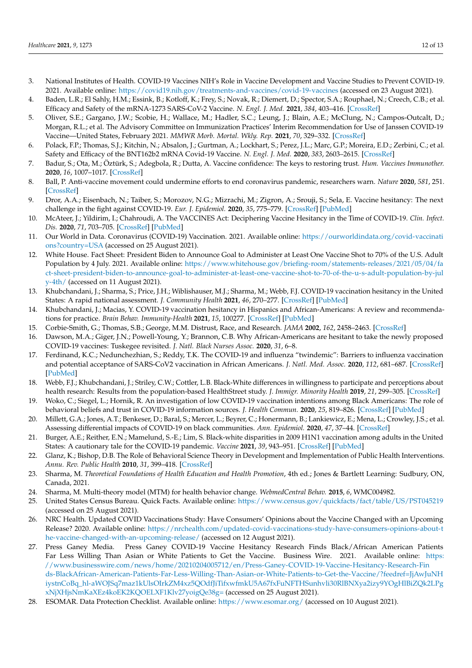- <span id="page-12-0"></span>3. National Institutes of Health. COVID-19 Vaccines NIH's Role in Vaccine Development and Vaccine Studies to Prevent COVID-19. 2021. Available online: <https://covid19.nih.gov/treatments-and-vaccines/covid-19-vaccines> (accessed on 23 August 2021).
- <span id="page-12-1"></span>4. Baden, L.R.; El Sahly, H.M.; Essink, B.; Kotloff, K.; Frey, S.; Novak, R.; Diemert, D.; Spector, S.A.; Rouphael, N.; Creech, C.B.; et al. Efficacy and Safety of the mRNA-1273 SARS-CoV-2 Vaccine. *N. Engl. J. Med.* **2021**, *384*, 403–416. [\[CrossRef\]](http://doi.org/10.1056/NEJMoa2035389)
- 5. Oliver, S.E.; Gargano, J.W.; Scobie, H.; Wallace, M.; Hadler, S.C.; Leung, J.; Blain, A.E.; McClung, N.; Campos-Outcalt, D.; Morgan, R.L.; et al. The Advisory Committee on Immunization Practices' Interim Recommendation for Use of Janssen COVID-19 Vaccine—United States, February 2021. *MMWR Morb. Mortal. Wkly. Rep.* **2021**, *70*, 329–332. [\[CrossRef\]](http://doi.org/10.15585/mmwr.mm7009e4)
- <span id="page-12-2"></span>6. Polack, F.P.; Thomas, S.J.; Kitchin, N.; Absalon, J.; Gurtman, A.; Lockhart, S.; Perez, J.L.; Marc, G.P.; Moreira, E.D.; Zerbini, C.; et al. Safety and Efficacy of the BNT162b2 mRNA Covid-19 Vaccine. *N. Engl. J. Med.* **2020**, *383*, 2603–2615. [\[CrossRef\]](http://doi.org/10.1056/NEJMoa2034577)
- <span id="page-12-3"></span>7. Badur, S.; Ota, M.; Öztürk, S.; Adegbola, R.; Dutta, A. Vaccine confidence: The keys to restoring trust. *Hum. Vaccines Immunother.* **2020**, *16*, 1007–1017. [\[CrossRef\]](http://doi.org/10.1080/21645515.2020.1740559)
- 8. Ball, P. Anti-vaccine movement could undermine efforts to end coronavirus pandemic, researchers warn. *Nature* **2020**, *581*, 251. [\[CrossRef\]](http://doi.org/10.1038/d41586-020-01423-4)
- 9. Dror, A.A.; Eisenbach, N.; Taiber, S.; Morozov, N.G.; Mizrachi, M.; Zigron, A.; Srouji, S.; Sela, E. Vaccine hesitancy: The next challenge in the fight against COVID-19. *Eur. J. Epidemiol.* **2020**, *35*, 775–779. [\[CrossRef\]](http://doi.org/10.1007/s10654-020-00671-y) [\[PubMed\]](http://www.ncbi.nlm.nih.gov/pubmed/32785815)
- <span id="page-12-4"></span>10. McAteer, J.; Yildirim, I.; Chahroudi, A. The VACCINES Act: Deciphering Vaccine Hesitancy in the Time of COVID-19. *Clin. Infect. Dis.* **2020**, *71*, 703–705. [\[CrossRef\]](http://doi.org/10.1093/cid/ciaa433) [\[PubMed\]](http://www.ncbi.nlm.nih.gov/pubmed/32282038)
- <span id="page-12-5"></span>11. Our World in Data. Coronavirus (COVID-19) Vaccination. 2021. Available online: [https://ourworldindata.org/covid-vaccinati](https://ourworldindata.org/covid-vaccinations?country=USA) [ons?country=USA](https://ourworldindata.org/covid-vaccinations?country=USA) (accessed on 25 August 2021).
- <span id="page-12-6"></span>12. White House. Fact Sheet: President Biden to Announce Goal to Administer at Least One Vaccine Shot to 70% of the U.S. Adult Population by 4 July. 2021. Available online: [https://www.whitehouse.gov/briefing-room/statements-releases/2021/05/04/fa](https://www.whitehouse.gov/briefing-room/statements-releases/2021/05/04/fact-sheet-president-biden-to-announce-goal-to-administer-at-least-one-vaccine-shot-to-70-of-the-u-s-adult-population-by-july-4th/) [ct-sheet-president-biden-to-announce-goal-to-administer-at-least-one-vaccine-shot-to-70-of-the-u-s-adult-population-by-jul](https://www.whitehouse.gov/briefing-room/statements-releases/2021/05/04/fact-sheet-president-biden-to-announce-goal-to-administer-at-least-one-vaccine-shot-to-70-of-the-u-s-adult-population-by-july-4th/) [y-4th/](https://www.whitehouse.gov/briefing-room/statements-releases/2021/05/04/fact-sheet-president-biden-to-announce-goal-to-administer-at-least-one-vaccine-shot-to-70-of-the-u-s-adult-population-by-july-4th/) (accessed on 11 August 2021).
- <span id="page-12-7"></span>13. Khubchandani, J.; Sharma, S.; Price, J.H.; Wiblishauser, M.J.; Sharma, M.; Webb, F.J. COVID-19 vaccination hesitancy in the United States: A rapid national assessment. *J. Community Health* **2021**, *46*, 270–277. [\[CrossRef\]](http://doi.org/10.1007/s10900-020-00958-x) [\[PubMed\]](http://www.ncbi.nlm.nih.gov/pubmed/33389421)
- <span id="page-12-8"></span>14. Khubchandani, J.; Macias, Y. COVID-19 vaccination hesitancy in Hispanics and African-Americans: A review and recommendations for practice. *Brain Behav. Immunity-Health* **2021**, *15*, 100277. [\[CrossRef\]](http://doi.org/10.1016/j.bbih.2021.100277) [\[PubMed\]](http://www.ncbi.nlm.nih.gov/pubmed/34036287)
- <span id="page-12-9"></span>15. Corbie-Smith, G.; Thomas, S.B.; George, M.M. Distrust, Race, and Research. *JAMA* **2002**, *162*, 2458–2463. [\[CrossRef\]](http://doi.org/10.1001/archinte.162.21.2458)
- <span id="page-12-10"></span>16. Dawson, M.A.; Giger, J.N.; Powell-Young, Y.; Brannon, C.B. Why African-Americans are hesitant to take the newly proposed COVID-19 vaccines: Tuskegee revisited. *J. Natl. Black Nurses Assoc.* **2020**, *31*, 6–8.
- 17. Ferdinand, K.C.; Nedunchezhian, S.; Reddy, T.K. The COVID-19 and influenza "twindemic": Barriers to influenza vaccination and potential acceptance of SARS-CoV2 vaccination in African Americans. *J. Natl. Med. Assoc.* **2020**, *112*, 681–687. [\[CrossRef\]](http://doi.org/10.1016/j.jnma.2020.11.001) [\[PubMed\]](http://www.ncbi.nlm.nih.gov/pubmed/33276969)
- 18. Webb, F.J.; Khubchandani, J.; Striley, C.W.; Cottler, L.B. Black-White differences in willingness to participate and perceptions about health research: Results from the population-based HealthStreet study. *J. Immigr. Minority Health* **2019**, *21*, 299–305. [\[CrossRef\]](http://doi.org/10.1007/s10903-018-0729-2)
- <span id="page-12-11"></span>19. Woko, C.; Siegel, L.; Hornik, R. An investigation of low COVID-19 vaccination intentions among Black Americans: The role of behavioral beliefs and trust in COVID-19 information sources. *J. Health Commun.* **2020**, *25*, 819–826. [\[CrossRef\]](http://doi.org/10.1080/10810730.2020.1864521) [\[PubMed\]](http://www.ncbi.nlm.nih.gov/pubmed/33719874)
- <span id="page-12-12"></span>20. Millett, G.A.; Jones, A.T.; Benkeser, D.; Baral, S.; Mercer, L.; Beyrer, C.; Honermann, B.; Lankiewicz, E.; Mena, L.; Crowley, J.S.; et al. Assessing differential impacts of COVID-19 on black communities. *Ann. Epidemiol.* **2020**, *47*, 37–44. [\[CrossRef\]](http://doi.org/10.1016/j.annepidem.2020.05.003)
- <span id="page-12-13"></span>21. Burger, A.E.; Reither, E.N.; Mamelund, S.-E.; Lim, S. Black-white disparities in 2009 H1N1 vaccination among adults in the United States: A cautionary tale for the COVID-19 pandemic. *Vaccine* **2021**, *39*, 943–951. [\[CrossRef\]](http://doi.org/10.1016/j.vaccine.2020.12.069) [\[PubMed\]](http://www.ncbi.nlm.nih.gov/pubmed/33454136)
- <span id="page-12-14"></span>22. Glanz, K.; Bishop, D.B. The Role of Behavioral Science Theory in Development and Implementation of Public Health Interventions. *Annu. Rev. Public Health* **2010**, *31*, 399–418. [\[CrossRef\]](http://doi.org/10.1146/annurev.publhealth.012809.103604)
- <span id="page-12-15"></span>23. Sharma, M. *Theoretical Foundations of Health Education and Health Promotion*, 4th ed.; Jones & Bartlett Learning: Sudbury, ON, Canada, 2021.
- <span id="page-12-16"></span>24. Sharma, M. Multi-theory model (MTM) for health behavior change. *WebmedCentral Behav.* **2015**, *6*, WMC004982.
- <span id="page-12-17"></span>25. United States Census Bureau. Quick Facts. Available online: <https://www.census.gov/quickfacts/fact/table/US/PST045219> (accessed on 25 August 2021).
- <span id="page-12-18"></span>26. NRC Health. Updated COVID Vaccinations Study: Have Consumers' Opinions about the Vaccine Changed with an Upcoming Release? 2020. Available online: [https://nrchealth.com/updated-covid-vaccinations-study-have-consumers-opinions-about-t](https://nrchealth.com/updated-covid-vaccinations-study-have-consumers-opinions-about-the-vaccine-changed-with-an-upcoming-release/) [he-vaccine-changed-with-an-upcoming-release/](https://nrchealth.com/updated-covid-vaccinations-study-have-consumers-opinions-about-the-vaccine-changed-with-an-upcoming-release/) (accessed on 12 August 2021).
- <span id="page-12-19"></span>27. Press Ganey Media. Press Ganey COVID-19 Vaccine Hesitancy Research Finds Black/African American Patients Far Less Willing Than Asian or White Patients to Get the Vaccine. Business Wire. 2021. Available online: [https:](https://www.businesswire.com/news/home/20210204005712/en/Press-Ganey-COVID-19-Vaccine-Hesitancy-Research-Finds-BlackAfrican-American-Patients-Far-Less-Willing-Than-Asian-or-White-Patients-to-Get-the-Vaccine/?feedref=JjAwJuNHiystnCoBq_hl-aWOJSq7maz1kUlsOIrkZM4xz5QOdfJiTifxwfmkU5A67fxFuNFTHSunhvli30RlBNXya2izy9YOgHlBiZQk2LPgxNjXHjsNmKaXEz4koEK2KQOELXF1Klv27yoigQe38g=) [//www.businesswire.com/news/home/20210204005712/en/Press-Ganey-COVID-19-Vaccine-Hesitancy-Research-Fin](https://www.businesswire.com/news/home/20210204005712/en/Press-Ganey-COVID-19-Vaccine-Hesitancy-Research-Finds-BlackAfrican-American-Patients-Far-Less-Willing-Than-Asian-or-White-Patients-to-Get-the-Vaccine/?feedref=JjAwJuNHiystnCoBq_hl-aWOJSq7maz1kUlsOIrkZM4xz5QOdfJiTifxwfmkU5A67fxFuNFTHSunhvli30RlBNXya2izy9YOgHlBiZQk2LPgxNjXHjsNmKaXEz4koEK2KQOELXF1Klv27yoigQe38g=) [ds-BlackAfrican-American-Patients-Far-Less-Willing-Than-Asian-or-White-Patients-to-Get-the-Vaccine/?feedref=JjAwJuNH](https://www.businesswire.com/news/home/20210204005712/en/Press-Ganey-COVID-19-Vaccine-Hesitancy-Research-Finds-BlackAfrican-American-Patients-Far-Less-Willing-Than-Asian-or-White-Patients-to-Get-the-Vaccine/?feedref=JjAwJuNHiystnCoBq_hl-aWOJSq7maz1kUlsOIrkZM4xz5QOdfJiTifxwfmkU5A67fxFuNFTHSunhvli30RlBNXya2izy9YOgHlBiZQk2LPgxNjXHjsNmKaXEz4koEK2KQOELXF1Klv27yoigQe38g=) [iystnCoBq\\_hl-aWOJSq7maz1kUlsOIrkZM4xz5QOdfJiTifxwfmkU5A67fxFuNFTHSunhvli30RlBNXya2izy9YOgHlBiZQk2LPg](https://www.businesswire.com/news/home/20210204005712/en/Press-Ganey-COVID-19-Vaccine-Hesitancy-Research-Finds-BlackAfrican-American-Patients-Far-Less-Willing-Than-Asian-or-White-Patients-to-Get-the-Vaccine/?feedref=JjAwJuNHiystnCoBq_hl-aWOJSq7maz1kUlsOIrkZM4xz5QOdfJiTifxwfmkU5A67fxFuNFTHSunhvli30RlBNXya2izy9YOgHlBiZQk2LPgxNjXHjsNmKaXEz4koEK2KQOELXF1Klv27yoigQe38g=) [xNjXHjsNmKaXEz4koEK2KQOELXF1Klv27yoigQe38g=](https://www.businesswire.com/news/home/20210204005712/en/Press-Ganey-COVID-19-Vaccine-Hesitancy-Research-Finds-BlackAfrican-American-Patients-Far-Less-Willing-Than-Asian-or-White-Patients-to-Get-the-Vaccine/?feedref=JjAwJuNHiystnCoBq_hl-aWOJSq7maz1kUlsOIrkZM4xz5QOdfJiTifxwfmkU5A67fxFuNFTHSunhvli30RlBNXya2izy9YOgHlBiZQk2LPgxNjXHjsNmKaXEz4koEK2KQOELXF1Klv27yoigQe38g=) (accessed on 25 August 2021).
- <span id="page-12-20"></span>28. ESOMAR. Data Protection Checklist. Available online: <https://www.esomar.org/> (accessed on 10 August 2021).